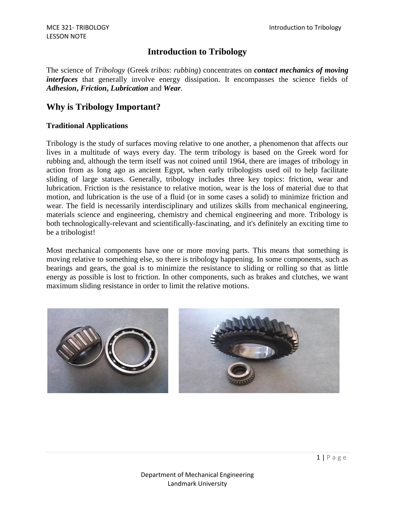# **Introduction to Tribology**

The science of *Tribology* (Greek *tribos*: *rubbing*) concentrates on *contact mechanics of moving interfaces* that generally involve energy dissipation. It encompasses the science fields of *Adhesion***,** *Friction***,** *Lubrication* and *Wear*.

# **Why is Tribology Important?**

#### **Traditional Applications**

Tribology is the study of surfaces moving relative to one another, a phenomenon that affects our lives in a multitude of ways every day. The term tribology is based on the Greek word for rubbing and, although the term itself was not coined until 1964, there are images of tribology in action from as long ago as ancient Egypt, when early tribologists used oil to help facilitate sliding of large statues. Generally, tribology includes three key topics: friction, wear and lubrication. Friction is the resistance to relative motion, wear is the loss of material due to that motion, and lubrication is the use of a fluid (or in some cases a solid) to minimize friction and wear. The field is necessarily interdisciplinary and utilizes skills from mechanical engineering, materials science and engineering, chemistry and chemical engineering and more. Tribology is both technologically-relevant and scientifically-fascinating, and it's definitely an exciting time to be a tribologist!

Most mechanical components have one or more moving parts. This means that something is moving relative to something else, so there is tribology happening. In some components, such as bearings and gears, the goal is to minimize the resistance to sliding or rolling so that as little energy as possible is lost to friction. In other components, such as brakes and clutches, we want maximum sliding resistance in order to limit the relative motions.

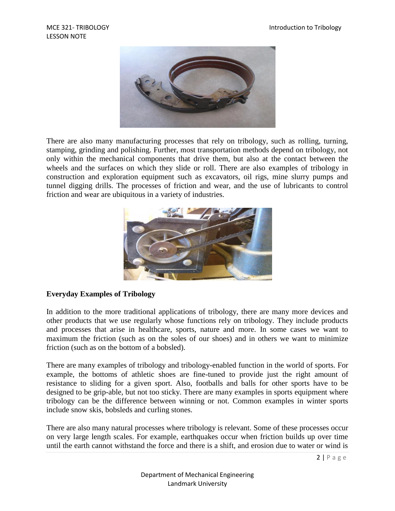

There are also many manufacturing processes that rely on tribology, such as rolling, turning, stamping, grinding and polishing. Further, most transportation methods depend on tribology, not only within the mechanical components that drive them, but also at the contact between the wheels and the surfaces on which they slide or roll. There are also examples of tribology in construction and exploration equipment such as excavators, oil rigs, mine slurry pumps and tunnel digging drills. The processes of friction and wear, and the use of lubricants to control friction and wear are ubiquitous in a variety of industries.



#### **Everyday Examples of Tribology**

In addition to the more traditional applications of tribology, there are many more devices and other products that we use regularly whose functions rely on tribology. They include products and processes that arise in healthcare, sports, nature and more. In some cases we want to maximum the friction (such as on the soles of our shoes) and in others we want to minimize friction (such as on the bottom of a bobsled).

There are many examples of tribology and tribology-enabled function in the world of sports. For example, the bottoms of athletic shoes are fine-tuned to provide just the right amount of resistance to sliding for a given sport. Also, footballs and balls for other sports have to be designed to be grip-able, but not too sticky. There are many examples in sports equipment where tribology can be the difference between winning or not. Common examples in winter sports include snow skis, bobsleds and curling stones.

There are also many natural processes where tribology is relevant. Some of these processes occur on very large length scales. For example, earthquakes occur when friction builds up over time until the earth cannot withstand the force and there is a shift, and erosion due to water or wind is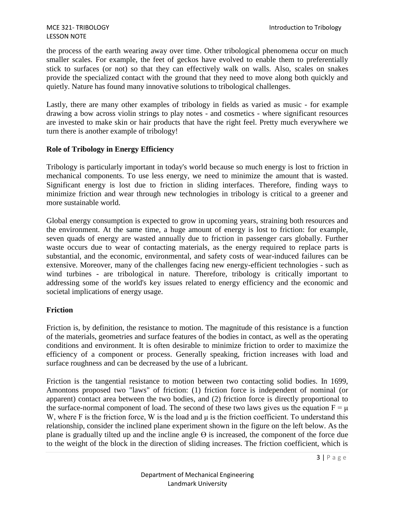the process of the earth wearing away over time. Other tribological phenomena occur on much smaller scales. For example, the feet of geckos have evolved to enable them to preferentially stick to surfaces (or not) so that they can effectively walk on walls. Also, scales on snakes provide the specialized contact with the ground that they need to move along both quickly and quietly. Nature has found many innovative solutions to tribological challenges.

Lastly, there are many other examples of tribology in fields as varied as music - for example drawing a bow across violin strings to play notes - and cosmetics - where significant resources are invested to make skin or hair products that have the right feel. Pretty much everywhere we turn there is another example of tribology!

# **Role of Tribology in Energy Efficiency**

Tribology is particularly important in today's world because so much energy is lost to friction in mechanical components. To use less energy, we need to minimize the amount that is wasted. Significant energy is lost due to friction in sliding interfaces. Therefore, finding ways to minimize friction and wear through new technologies in tribology is critical to a greener and more sustainable world.

Global energy consumption is expected to grow in upcoming years, straining both resources and the environment. At the same time, a huge amount of energy is lost to friction: for example, seven quads of energy are wasted annually due to friction in passenger cars globally. Further waste occurs due to wear of contacting materials, as the energy required to replace parts is substantial, and the economic, environmental, and safety costs of wear-induced failures can be extensive. Moreover, many of the challenges facing new energy-efficient technologies - such as wind turbines - are tribological in nature. Therefore, tribology is critically important to addressing some of the world's key issues related to energy efficiency and the economic and societal implications of energy usage.

# **Friction**

Friction is, by definition, the resistance to motion. The magnitude of this resistance is a function of the materials, geometries and surface features of the bodies in contact, as well as the operating conditions and environment. It is often desirable to minimize friction to order to maximize the efficiency of a component or process. Generally speaking, friction increases with load and surface roughness and can be decreased by the use of a lubricant.

Friction is the tangential resistance to motion between two contacting solid bodies. In 1699, Amontons proposed two "laws" of friction: (1) friction force is independent of nominal (or apparent) contact area between the two bodies, and (2) friction force is directly proportional to the surface-normal component of load. The second of these two laws gives us the equation  $F = \mu$ W, where F is the friction force, W is the load and μ is the friction coefficient. To understand this relationship, consider the inclined plane experiment shown in the figure on the left below. As the plane is gradually tilted up and the incline angle  $\Theta$  is increased, the component of the force due to the weight of the block in the direction of sliding increases. The friction coefficient, which is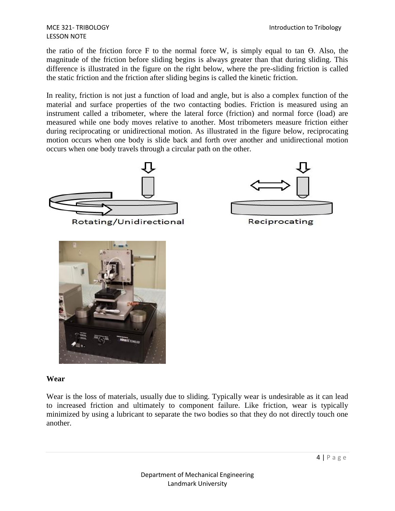the ratio of the friction force F to the normal force W, is simply equal to tan ϴ. Also, the magnitude of the friction before sliding begins is always greater than that during sliding. This difference is illustrated in the figure on the right below, where the pre-sliding friction is called the static friction and the friction after sliding begins is called the kinetic friction.

In reality, friction is not just a function of load and angle, but is also a complex function of the material and surface properties of the two contacting bodies. Friction is measured using an instrument called a tribometer, where the lateral force (friction) and normal force (load) are measured while one body moves relative to another. Most tribometers measure friction either during reciprocating or unidirectional motion. As illustrated in the figure below, reciprocating motion occurs when one body is slide back and forth over another and unidirectional motion occurs when one body travels through a circular path on the other.



Rotating/Unidirectional



Reciprocating



#### **Wear**

Wear is the loss of materials, usually due to sliding. Typically wear is undesirable as it can lead to increased friction and ultimately to component failure. Like friction, wear is typically minimized by using a lubricant to separate the two bodies so that they do not directly touch one another.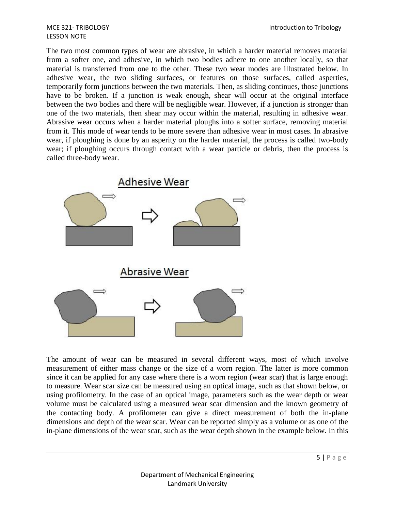The two most common types of wear are abrasive, in which a harder material removes material from a softer one, and adhesive, in which two bodies adhere to one another locally, so that material is transferred from one to the other. These two wear modes are illustrated below. In adhesive wear, the two sliding surfaces, or features on those surfaces, called asperties, temporarily form junctions between the two materials. Then, as sliding continues, those junctions have to be broken. If a junction is weak enough, shear will occur at the original interface between the two bodies and there will be negligible wear. However, if a junction is stronger than one of the two materials, then shear may occur within the material, resulting in adhesive wear. Abrasive wear occurs when a harder material ploughs into a softer surface, removing material from it. This mode of wear tends to be more severe than adhesive wear in most cases. In abrasive wear, if ploughing is done by an asperity on the harder material, the process is called two-body wear; if ploughing occurs through contact with a wear particle or debris, then the process is called three-body wear.



The amount of wear can be measured in several different ways, most of which involve measurement of either mass change or the size of a worn region. The latter is more common since it can be applied for any case where there is a worn region (wear scar) that is large enough to measure. Wear scar size can be measured using an optical image, such as that shown below, or using profilometry. In the case of an optical image, parameters such as the wear depth or wear volume must be calculated using a measured wear scar dimension and the known geometry of the contacting body. A profilometer can give a direct measurement of both the in-plane dimensions and depth of the wear scar. Wear can be reported simply as a volume or as one of the in-plane dimensions of the wear scar, such as the wear depth shown in the example below. In this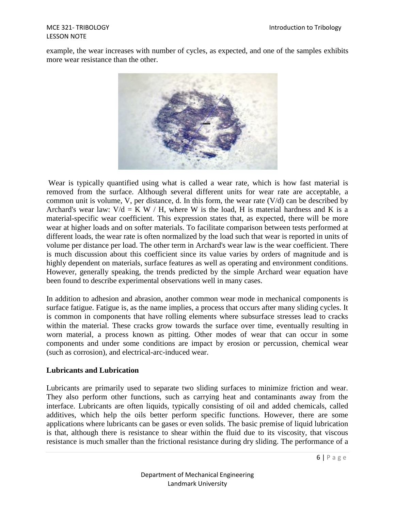# LESSON NOTE

example, the wear increases with number of cycles, as expected, and one of the samples exhibits more wear resistance than the other.



Wear is typically quantified using what is called a wear rate, which is how fast material is removed from the surface. Although several different units for wear rate are acceptable, a common unit is volume, V, per distance, d. In this form, the wear rate  $(V/d)$  can be described by Archard's wear law:  $V/d = K W / H$ , where W is the load, H is material hardness and K is a material-specific wear coefficient. This expression states that, as expected, there will be more wear at higher loads and on softer materials. To facilitate comparison between tests performed at different loads, the wear rate is often normalized by the load such that wear is reported in units of volume per distance per load. The other term in Archard's wear law is the wear coefficient. There is much discussion about this coefficient since its value varies by orders of magnitude and is highly dependent on materials, surface features as well as operating and environment conditions. However, generally speaking, the trends predicted by the simple Archard wear equation have been found to describe experimental observations well in many cases.

In addition to adhesion and abrasion, another common wear mode in mechanical components is surface fatigue. Fatigue is, as the name implies, a process that occurs after many sliding cycles. It is common in components that have rolling elements where subsurface stresses lead to cracks within the material. These cracks grow towards the surface over time, eventually resulting in worn material, a process known as pitting. Other modes of wear that can occur in some components and under some conditions are impact by erosion or percussion, chemical wear (such as corrosion), and electrical-arc-induced wear.

# **Lubricants and Lubrication**

Lubricants are primarily used to separate two sliding surfaces to minimize friction and wear. They also perform other functions, such as carrying heat and contaminants away from the interface. Lubricants are often liquids, typically consisting of oil and added chemicals, called additives, which help the oils better perform specific functions. However, there are some applications where lubricants can be gases or even solids. The basic premise of liquid lubrication is that, although there is resistance to shear within the fluid due to its viscosity, that viscous resistance is much smaller than the frictional resistance during dry sliding. The performance of a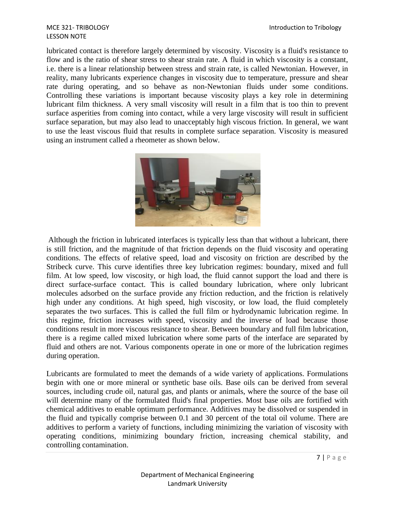lubricated contact is therefore largely determined by viscosity. Viscosity is a fluid's resistance to flow and is the ratio of shear stress to shear strain rate. A fluid in which viscosity is a constant, i.e. there is a linear relationship between stress and strain rate, is called Newtonian. However, in reality, many lubricants experience changes in viscosity due to temperature, pressure and shear rate during operating, and so behave as non-Newtonian fluids under some conditions. Controlling these variations is important because viscosity plays a key role in determining lubricant film thickness. A very small viscosity will result in a film that is too thin to prevent surface asperities from coming into contact, while a very large viscosity will result in sufficient surface separation, but may also lead to unacceptably high viscous friction. In general, we want to use the least viscous fluid that results in complete surface separation. Viscosity is measured using an instrument called a rheometer as shown below.



Although the friction in lubricated interfaces is typically less than that without a lubricant, there is still friction, and the magnitude of that friction depends on the fluid viscosity and operating conditions. The effects of relative speed, load and viscosity on friction are described by the Stribeck curve. This curve identifies three key lubrication regimes: boundary, mixed and full film. At low speed, low viscosity, or high load, the fluid cannot support the load and there is direct surface-surface contact. This is called boundary lubrication, where only lubricant molecules adsorbed on the surface provide any friction reduction, and the friction is relatively high under any conditions. At high speed, high viscosity, or low load, the fluid completely separates the two surfaces. This is called the full film or hydrodynamic lubrication regime. In this regime, friction increases with speed, viscosity and the inverse of load because those conditions result in more viscous resistance to shear. Between boundary and full film lubrication, there is a regime called mixed lubrication where some parts of the interface are separated by fluid and others are not. Various components operate in one or more of the lubrication regimes during operation.

Lubricants are formulated to meet the demands of a wide variety of applications. Formulations begin with one or more mineral or synthetic base oils. Base oils can be derived from several sources, including crude oil, natural gas, and plants or animals, where the source of the base oil will determine many of the formulated fluid's final properties. Most base oils are fortified with chemical additives to enable optimum performance. Additives may be dissolved or suspended in the fluid and typically comprise between 0.1 and 30 percent of the total oil volume. There are additives to perform a variety of functions, including minimizing the variation of viscosity with operating conditions, minimizing boundary friction, increasing chemical stability, and controlling contamination.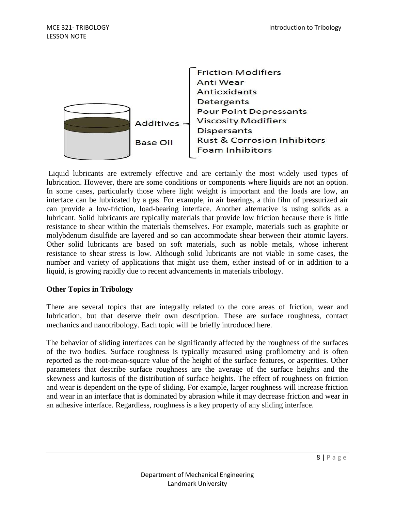

Liquid lubricants are extremely effective and are certainly the most widely used types of lubrication. However, there are some conditions or components where liquids are not an option. In some cases, particularly those where light weight is important and the loads are low, an interface can be lubricated by a gas. For example, in air bearings, a thin film of pressurized air can provide a low-friction, load-bearing interface. Another alternative is using solids as a lubricant. Solid lubricants are typically materials that provide low friction because there is little resistance to shear within the materials themselves. For example, materials such as graphite or molybdenum disulfide are layered and so can accommodate shear between their atomic layers. Other solid lubricants are based on soft materials, such as noble metals, whose inherent resistance to shear stress is low. Although solid lubricants are not viable in some cases, the number and variety of applications that might use them, either instead of or in addition to a liquid, is growing rapidly due to recent advancements in materials tribology.

# **Other Topics in Tribology**

There are several topics that are integrally related to the core areas of friction, wear and lubrication, but that deserve their own description. These are surface roughness, contact mechanics and nanotribology. Each topic will be briefly introduced here.

The behavior of sliding interfaces can be significantly affected by the roughness of the surfaces of the two bodies. Surface roughness is typically measured using profilometry and is often reported as the root-mean-square value of the height of the surface features, or asperities. Other parameters that describe surface roughness are the average of the surface heights and the skewness and kurtosis of the distribution of surface heights. The effect of roughness on friction and wear is dependent on the type of sliding. For example, larger roughness will increase friction and wear in an interface that is dominated by abrasion while it may decrease friction and wear in an adhesive interface. Regardless, roughness is a key property of any sliding interface.